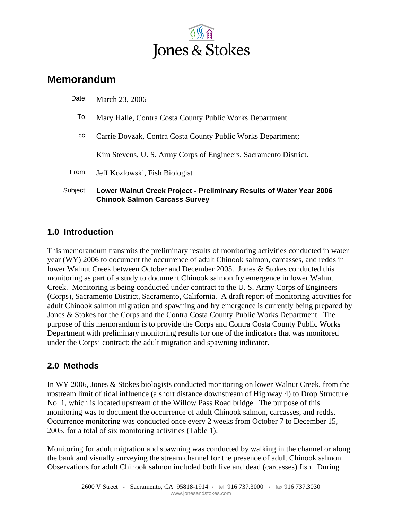

# **Memorandum**

| Date:    | March 23, 2006                                                                                              |
|----------|-------------------------------------------------------------------------------------------------------------|
| To:      | Mary Halle, Contra Costa County Public Works Department                                                     |
| CC:      | Carrie Dovzak, Contra Costa County Public Works Department;                                                 |
|          | Kim Stevens, U.S. Army Corps of Engineers, Sacramento District.                                             |
| From:    | Jeff Kozlowski, Fish Biologist                                                                              |
| Subject: | Lower Walnut Creek Project - Preliminary Results of Water Year 2006<br><b>Chinook Salmon Carcass Survey</b> |

#### **1.0 Introduction**

This memorandum transmits the preliminary results of monitoring activities conducted in water year (WY) 2006 to document the occurrence of adult Chinook salmon, carcasses, and redds in lower Walnut Creek between October and December 2005. Jones & Stokes conducted this monitoring as part of a study to document Chinook salmon fry emergence in lower Walnut Creek. Monitoring is being conducted under contract to the U. S. Army Corps of Engineers (Corps), Sacramento District, Sacramento, California. A draft report of monitoring activities for adult Chinook salmon migration and spawning and fry emergence is currently being prepared by Jones & Stokes for the Corps and the Contra Costa County Public Works Department. The purpose of this memorandum is to provide the Corps and Contra Costa County Public Works Department with preliminary monitoring results for one of the indicators that was monitored under the Corps' contract: the adult migration and spawning indicator.

## **2.0 Methods**

In WY 2006, Jones & Stokes biologists conducted monitoring on lower Walnut Creek, from the upstream limit of tidal influence (a short distance downstream of Highway 4) to Drop Structure No. 1, which is located upstream of the Willow Pass Road bridge. The purpose of this monitoring was to document the occurrence of adult Chinook salmon, carcasses, and redds. Occurrence monitoring was conducted once every 2 weeks from October 7 to December 15, 2005, for a total of six monitoring activities (Table 1).

Monitoring for adult migration and spawning was conducted by walking in the channel or along the bank and visually surveying the stream channel for the presence of adult Chinook salmon. Observations for adult Chinook salmon included both live and dead (carcasses) fish. During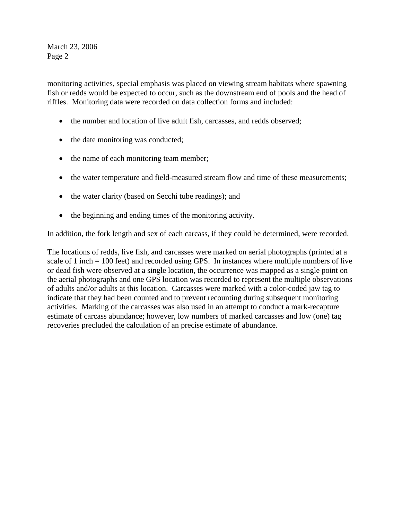monitoring activities, special emphasis was placed on viewing stream habitats where spawning fish or redds would be expected to occur, such as the downstream end of pools and the head of riffles. Monitoring data were recorded on data collection forms and included:

- the number and location of live adult fish, carcasses, and redds observed;
- the date monitoring was conducted;
- the name of each monitoring team member;
- the water temperature and field-measured stream flow and time of these measurements;
- the water clarity (based on Secchi tube readings); and
- the beginning and ending times of the monitoring activity.

In addition, the fork length and sex of each carcass, if they could be determined, were recorded.

The locations of redds, live fish, and carcasses were marked on aerial photographs (printed at a scale of 1 inch  $= 100$  feet) and recorded using GPS. In instances where multiple numbers of live or dead fish were observed at a single location, the occurrence was mapped as a single point on the aerial photographs and one GPS location was recorded to represent the multiple observations of adults and/or adults at this location. Carcasses were marked with a color-coded jaw tag to indicate that they had been counted and to prevent recounting during subsequent monitoring activities. Marking of the carcasses was also used in an attempt to conduct a mark-recapture estimate of carcass abundance; however, low numbers of marked carcasses and low (one) tag recoveries precluded the calculation of an precise estimate of abundance.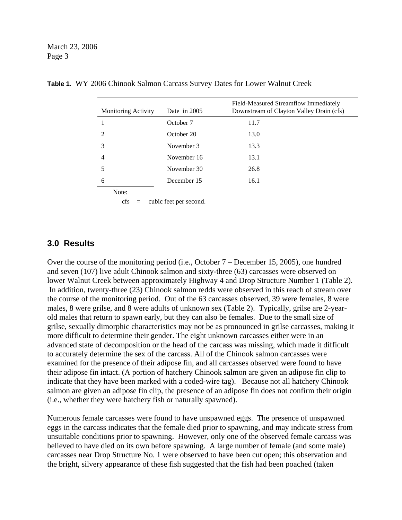| <b>Monitoring Activity</b>  | Date in $2005$         | Field-Measured Streamflow Immediately<br>Downstream of Clayton Valley Drain (cfs) |
|-----------------------------|------------------------|-----------------------------------------------------------------------------------|
|                             | October 7              | 11.7                                                                              |
| $\mathcal{D}_{\mathcal{L}}$ | October 20             | 13.0                                                                              |
| 3                           | November 3             | 13.3                                                                              |
| 4                           | November 16            | 13.1                                                                              |
| 5                           | November 30            | 26.8                                                                              |
| 6                           | December 15            | 16.1                                                                              |
| Note:                       |                        |                                                                                   |
| <sub>cfs</sub><br>$=$       | cubic feet per second. |                                                                                   |

|  |  | Table 1. WY 2006 Chinook Salmon Carcass Survey Dates for Lower Walnut Creek |  |  |  |  |  |  |  |
|--|--|-----------------------------------------------------------------------------|--|--|--|--|--|--|--|
|--|--|-----------------------------------------------------------------------------|--|--|--|--|--|--|--|

#### **3.0 Results**

Over the course of the monitoring period (i.e., October 7 – December 15, 2005), one hundred and seven (107) live adult Chinook salmon and sixty-three (63) carcasses were observed on lower Walnut Creek between approximately Highway 4 and Drop Structure Number 1 (Table 2). In addition, twenty-three (23) Chinook salmon redds were observed in this reach of stream over the course of the monitoring period. Out of the 63 carcasses observed, 39 were females, 8 were males, 8 were grilse, and 8 were adults of unknown sex (Table 2). Typically, grilse are 2-yearold males that return to spawn early, but they can also be females. Due to the small size of grilse, sexually dimorphic characteristics may not be as pronounced in grilse carcasses, making it more difficult to determine their gender. The eight unknown carcasses either were in an advanced state of decomposition or the head of the carcass was missing, which made it difficult to accurately determine the sex of the carcass. All of the Chinook salmon carcasses were examined for the presence of their adipose fin, and all carcasses observed were found to have their adipose fin intact. (A portion of hatchery Chinook salmon are given an adipose fin clip to indicate that they have been marked with a coded-wire tag). Because not all hatchery Chinook salmon are given an adipose fin clip, the presence of an adipose fin does not confirm their origin (i.e., whether they were hatchery fish or naturally spawned).

Numerous female carcasses were found to have unspawned eggs. The presence of unspawned eggs in the carcass indicates that the female died prior to spawning, and may indicate stress from unsuitable conditions prior to spawning. However, only one of the observed female carcass was believed to have died on its own before spawning. A large number of female (and some male) carcasses near Drop Structure No. 1 were observed to have been cut open; this observation and the bright, silvery appearance of these fish suggested that the fish had been poached (taken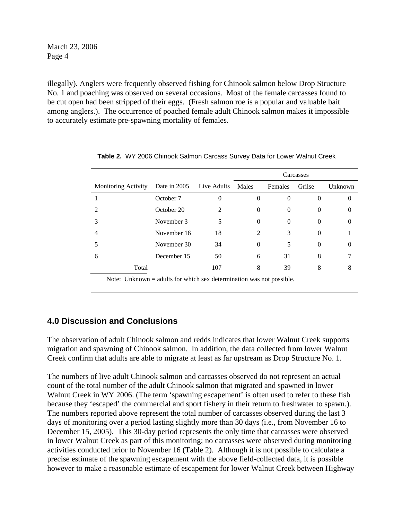illegally). Anglers were frequently observed fishing for Chinook salmon below Drop Structure No. 1 and poaching was observed on several occasions. Most of the female carcasses found to be cut open had been stripped of their eggs. (Fresh salmon roe is a popular and valuable bait among anglers.). The occurrence of poached female adult Chinook salmon makes it impossible to accurately estimate pre-spawning mortality of females.

|                                                                                                                                                                                                                                                                                            |              |             | Carcasses      |          |          |         |
|--------------------------------------------------------------------------------------------------------------------------------------------------------------------------------------------------------------------------------------------------------------------------------------------|--------------|-------------|----------------|----------|----------|---------|
| <b>Monitoring Activity</b>                                                                                                                                                                                                                                                                 | Date in 2005 | Live Adults | Males          | Females  | Grilse   | Unknown |
|                                                                                                                                                                                                                                                                                            | October 7    | 0           |                | $\theta$ | $\Omega$ | O       |
| 2                                                                                                                                                                                                                                                                                          | October 20   | 2           |                | $\theta$ | $\theta$ | O       |
|                                                                                                                                                                                                                                                                                            | November 3   | 5           |                | $\theta$ | $\Omega$ | O       |
|                                                                                                                                                                                                                                                                                            | November 16  | 18          | $\mathfrak{D}$ | 3        | $\Omega$ |         |
|                                                                                                                                                                                                                                                                                            | November 30  | 34          | $\Omega$       | 5        | $\Omega$ | 0       |
| 6                                                                                                                                                                                                                                                                                          | December 15  | 50          | 6              | 31       | 8        |         |
| Total                                                                                                                                                                                                                                                                                      |              | 107         | 8              | 39       | 8        | 8       |
| $\mathbf{M}$ and $\mathbf{M}$ and $\mathbf{M}$ are all $\mathbf{M}$ and $\mathbf{C}$ are all $\mathbf{M}$ and $\mathbf{M}$ and $\mathbf{M}$ are all $\mathbf{M}$ and $\mathbf{M}$ are all $\mathbf{M}$ and $\mathbf{M}$ are all $\mathbf{M}$ and $\mathbf{M}$ are all $\mathbf{M}$ and $\$ |              |             |                |          |          |         |

**Table 2.** WY 2006 Chinook Salmon Carcass Survey Data for Lower Walnut Creek

Note: Unknown  $=$  adults for which sex determination was not possible.

## **4.0 Discussion and Conclusions**

The observation of adult Chinook salmon and redds indicates that lower Walnut Creek supports migration and spawning of Chinook salmon. In addition, the data collected from lower Walnut Creek confirm that adults are able to migrate at least as far upstream as Drop Structure No. 1.

The numbers of live adult Chinook salmon and carcasses observed do not represent an actual count of the total number of the adult Chinook salmon that migrated and spawned in lower Walnut Creek in WY 2006. (The term 'spawning escapement' is often used to refer to these fish because they 'escaped' the commercial and sport fishery in their return to freshwater to spawn.). The numbers reported above represent the total number of carcasses observed during the last 3 days of monitoring over a period lasting slightly more than 30 days (i.e., from November 16 to December 15, 2005). This 30-day period represents the only time that carcasses were observed in lower Walnut Creek as part of this monitoring; no carcasses were observed during monitoring activities conducted prior to November 16 (Table 2). Although it is not possible to calculate a precise estimate of the spawning escapement with the above field-collected data, it is possible however to make a reasonable estimate of escapement for lower Walnut Creek between Highway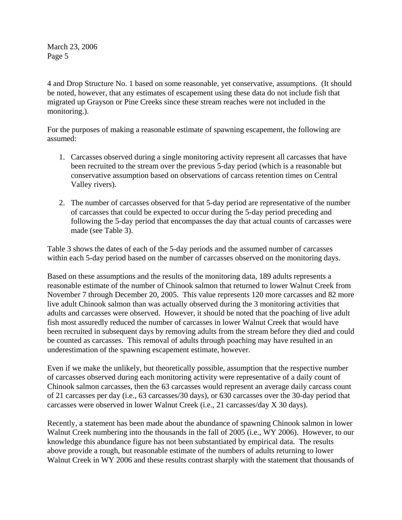4 and Drop Structure No. 1 based on some reasonable, yet conservative, assumptions. (It should be noted, however, that any estimates of escapement using these data do not include fish that migrated up Grayson or Pine Creeks since these stream reaches were not included in the monitoring.).

For the purposes of making a reasonable estimate of spawning escapement, the following are assumed:

- 1. Carcasses observed during a single monitoring activity represent all carcasses that have been recruited to the stream over the previous 5-day period (which is a reasonable but conservative assumption based on observations of carcass retention times on Central Valley rivers).
- 2. The number of carcasses observed for that 5-day period are representative of the number of carcasses that could be expected to occur during the 5-day period preceding and following the 5-day period that encompasses the day that actual counts of carcasses were made (see Table 3).

Table 3 shows the dates of each of the 5-day periods and the assumed number of carcasses within each 5-day period based on the number of carcasses observed on the monitoring days.

Based on these assumptions and the results of the monitoring data, 189 adults represents a reasonable estimate of the number of Chinook salmon that returned to lower Walnut Creek from November 7 through December 20, 2005. This value represents 120 more carcasses and 82 more live adult Chinook salmon than was actually observed during the 3 monitoring activities that adults and carcasses were observed. However, it should be noted that the poaching of live adult fish most assuredly reduced the number of carcasses in lower Walnut Creek that would have been recruited in subsequent days by removing adults from the stream before they died and could be counted as carcasses. This removal of adults through poaching may have resulted in an underestimation of the spawning escapement estimate, however.

Even if we make the unlikely, but theoretically possible, assumption that the respective number of carcasses observed during each monitoring activity were representative of a daily count of Chinook salmon carcasses, then the 63 carcasses would represent an average daily carcass count of 21 carcasses per day (i.e., 63 carcasses/30 days), or 630 carcasses over the 30-day period that carcasses were observed in lower Walnut Creek (i.e., 21 carcasses/day X 30 days).

Recently, a statement has been made about the abundance of spawning Chinook salmon in lower Walnut Creek numbering into the thousands in the fall of 2005 (i.e., WY 2006). However, to our knowledge this abundance figure has not been substantiated by empirical data. The results above provide a rough, but reasonable estimate of the numbers of adults returning to lower Walnut Creek in WY 2006 and these results contrast sharply with the statement that thousands of